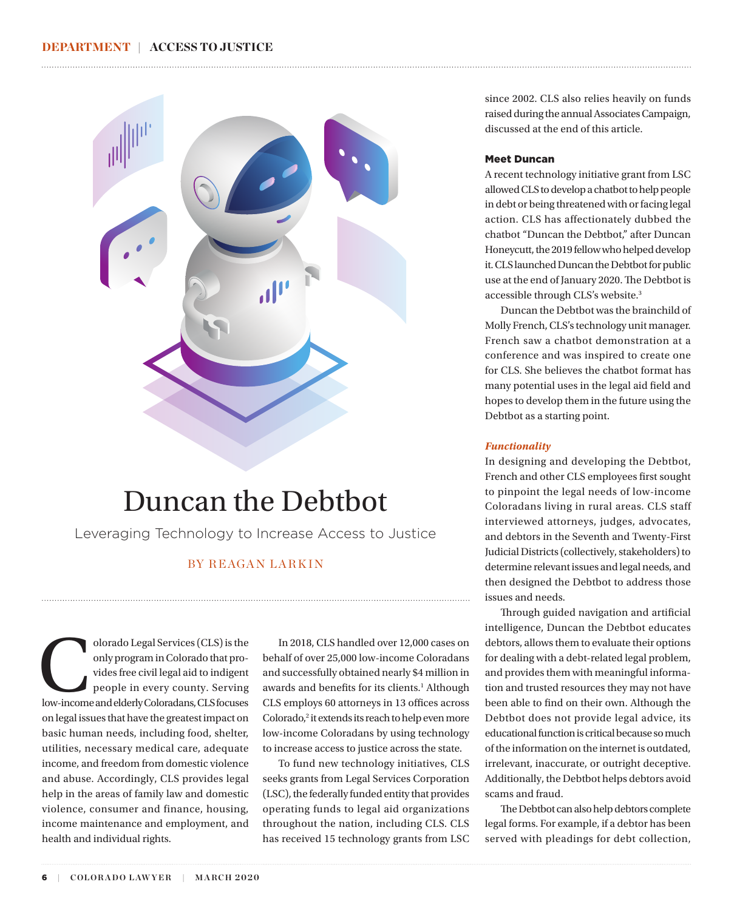<span id="page-0-0"></span>

## Duncan the Debtbot

Leveraging Technology to Increase Access to Justice

## BY REAGAN LARKIN

olorado Legal Services (CLS) is the<br>
only program in Colorado that pro-<br>
vides free civil legal aid to indigent<br>
people in every county. Serving<br>
low-income and elderly Coloradans, CLS focuses only program in Colorado that provides free civil legal aid to indigent people in every county. Serving on legal issues that have the greatest impact on basic human needs, including food, shelter, utilities, necessary medical care, adequate income, and freedom from domestic violence and abuse. Accordingly, CLS provides legal help in the areas of family law and domestic violence, consumer and finance, housing, income maintenance and employment, and health and individual rights.

In 2018, CLS handled over 12,000 cases on behalf of over 25,000 low-income Coloradans and successfully obtained nearly \$4 million in awards and benefits for its clients.<sup>[1](#page-2-0)</sup> Although CLS employs 60 attorneys in 13 offices across Colorado,<sup>2</sup> it extends its reach to help even more low-income Coloradans by using technology to increase access to justice across the state.

To fund new technology initiatives, CLS seeks grants from Legal Services Corporation (LSC), the federally funded entity that provides operating funds to legal aid organizations throughout the nation, including CLS. CLS has received 15 technology grants from LSC since 2002. CLS also relies heavily on funds raised during the annual Associates Campaign, discussed at the end of this article.

## Meet Duncan

A recent technology initiative grant from LSC allowed CLS to develop a chatbot to help people in debt or being threatened with or facing legal action. CLS has affectionately dubbed the chatbot "Duncan the Debtbot," after Duncan Honeycutt, the 2019 fellow who helped develop it. CLS launched Duncan the Debtbot for public use at the end of January 2020. The Debtbot is accessible through CLS's website[.3](#page-2-0)

Duncan the Debtbot was the brainchild of Molly French, CLS's technology unit manager. French saw a chatbot demonstration at a conference and was inspired to create one for CLS. She believes the chatbot format has many potential uses in the legal aid field and hopes to develop them in the future using the Debtbot as a starting point.

## *Functionality*

In designing and developing the Debtbot, French and other CLS employees first sought to pinpoint the legal needs of low-income Coloradans living in rural areas. CLS staff interviewed attorneys, judges, advocates, and debtors in the Seventh and Twenty-First Judicial Districts (collectively, stakeholders) to determine relevant issues and legal needs, and then designed the Debtbot to address those issues and needs.

Through guided navigation and artificial intelligence, Duncan the Debtbot educates debtors, allows them to evaluate their options for dealing with a debt-related legal problem, and provides them with meaningful information and trusted resources they may not have been able to find on their own. Although the Debtbot does not provide legal advice, its educational function is critical because so much of the information on the internet is outdated, irrelevant, inaccurate, or outright deceptive. Additionally, the Debtbot helps debtors avoid scams and fraud.

The Debtbot can also help debtors complete legal forms. For example, if a debtor has been served with pleadings for debt collection,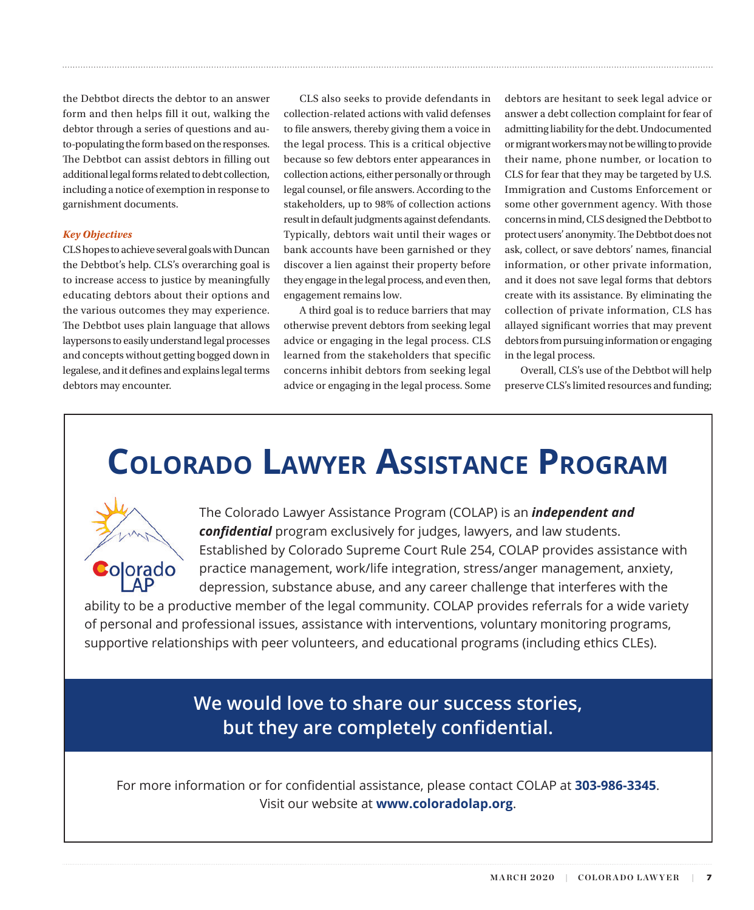the Debtbot directs the debtor to an answer form and then helps fill it out, walking the debtor through a series of questions and auto-populating the form based on the responses. The Debtbot can assist debtors in filling out additional legal forms related to debt collection, including a notice of exemption in response to garnishment documents.

## *Key Objectives*

CLS hopes to achieve several goals with Duncan the Debtbot's help. CLS's overarching goal is to increase access to justice by meaningfully educating debtors about their options and the various outcomes they may experience. The Debtbot uses plain language that allows laypersons to easily understand legal processes and concepts without getting bogged down in legalese, and it defines and explains legal terms debtors may encounter.

CLS also seeks to provide defendants in collection-related actions with valid defenses to file answers, thereby giving them a voice in the legal process. This is a critical objective because so few debtors enter appearances in collection actions, either personally or through legal counsel, or file answers. According to the stakeholders, up to 98% of collection actions result in default judgments against defendants. Typically, debtors wait until their wages or bank accounts have been garnished or they discover a lien against their property before they engage in the legal process, and even then, engagement remains low.

A third goal is to reduce barriers that may otherwise prevent debtors from seeking legal advice or engaging in the legal process. CLS learned from the stakeholders that specific concerns inhibit debtors from seeking legal advice or engaging in the legal process. Some debtors are hesitant to seek legal advice or answer a debt collection complaint for fear of admitting liability for the debt. Undocumented or migrant workers may not be willing to provide their name, phone number, or location to CLS for fear that they may be targeted by U.S. Immigration and Customs Enforcement or some other government agency. With those concerns in mind, CLS designed the Debtbot to protect users' anonymity. The Debtbot does not ask, collect, or save debtors' names, financial information, or other private information, and it does not save legal forms that debtors create with its assistance. By eliminating the collection of private information, CLS has allayed significant worries that may prevent debtors from pursuing information or engaging in the legal process.

Overall, CLS's use of the Debtbot will help preserve CLS's limited resources and funding;

# **COLORADO LAWYER ASSISTANCE PROGRAM**



The Colorado Lawyer Assistance Program (COLAP) is an *independent and confidential* program exclusively for judges, lawyers, and law students. Established by Colorado Supreme Court Rule 254, COLAP provides assistance with practice management, work/life integration, stress/anger management, anxiety, depression, substance abuse, and any career challenge that interferes with the

ability to be a productive member of the legal community. COLAP provides referrals for a wide variety of personal and professional issues, assistance with interventions, voluntary monitoring programs, supportive relationships with peer volunteers, and educational programs (including ethics CLEs).

> **We would love to share our success stories, but they are completely confidential.**

For more information or for confidential assistance, please contact COLAP at **303-986-3345**. Visit our website at **www.coloradolap.org**.